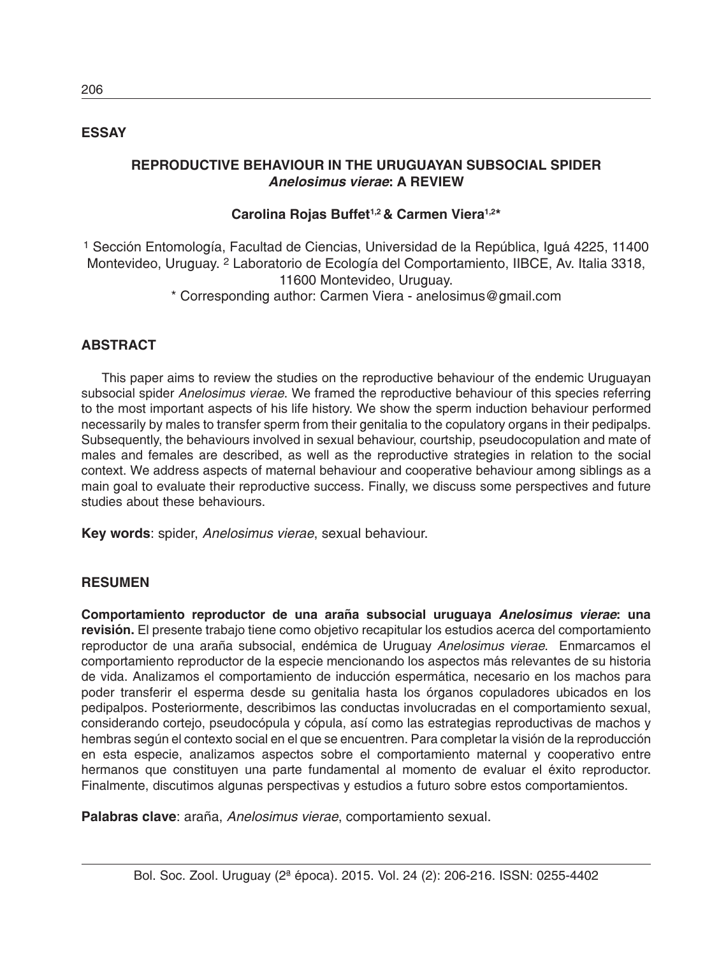## **ESSAY**

## **REPRODUCTIVE BEHAVIOUR IN THE URUGUAYAN SUBSOCIAL SPIDER** *Anelosimus vierae***: A REVIEW**

# **Carolina Rojas Buffet1,2 & Carmen Viera1,2\***

1 Sección Entomología, Facultad de Ciencias, Universidad de la República, Iguá 4225, 11400 Montevideo, Uruguay. 2 Laboratorio de Ecología del Comportamiento, IIBCE, Av. Italia 3318, 11600 Montevideo, Uruguay.

\* Corresponding author: Carmen Viera - anelosimus@gmail.com

# **ABSTRACT**

This paper aims to review the studies on the reproductive behaviour of the endemic Uruguayan subsocial spider *Anelosimus vierae*. We framed the reproductive behaviour of this species referring to the most important aspects of his life history. We show the sperm induction behaviour performed necessarily by males to transfer sperm from their genitalia to the copulatory organs in their pedipalps. Subsequently, the behaviours involved in sexual behaviour, courtship, pseudocopulation and mate of males and females are described, as well as the reproductive strategies in relation to the social context. We address aspects of maternal behaviour and cooperative behaviour among siblings as a main goal to evaluate their reproductive success. Finally, we discuss some perspectives and future studies about these behaviours.

**Key words**: spider, *Anelosimus vierae*, sexual behaviour.

## **RESUMEN**

**Comportamiento reproductor de una araña subsocial uruguaya** *Anelosimus vierae***: una revisión.** El presente trabajo tiene como objetivo recapitular los estudios acerca del comportamiento reproductor de una araña subsocial, endémica de Uruguay *Anelosimus vierae*. Enmarcamos el comportamiento reproductor de la especie mencionando los aspectos más relevantes de su historia de vida. Analizamos el comportamiento de inducción espermática, necesario en los machos para poder transferir el esperma desde su genitalia hasta los órganos copuladores ubicados en los pedipalpos. Posteriormente, describimos las conductas involucradas en el comportamiento sexual, considerando cortejo, pseudocópula y cópula, así como las estrategias reproductivas de machos y hembras según el contexto social en el que se encuentren. Para completar la visión de la reproducción en esta especie, analizamos aspectos sobre el comportamiento maternal y cooperativo entre hermanos que constituyen una parte fundamental al momento de evaluar el éxito reproductor. Finalmente, discutimos algunas perspectivas y estudios a futuro sobre estos comportamientos.

**Palabras clave**: araña, *Anelosimus vierae*, comportamiento sexual.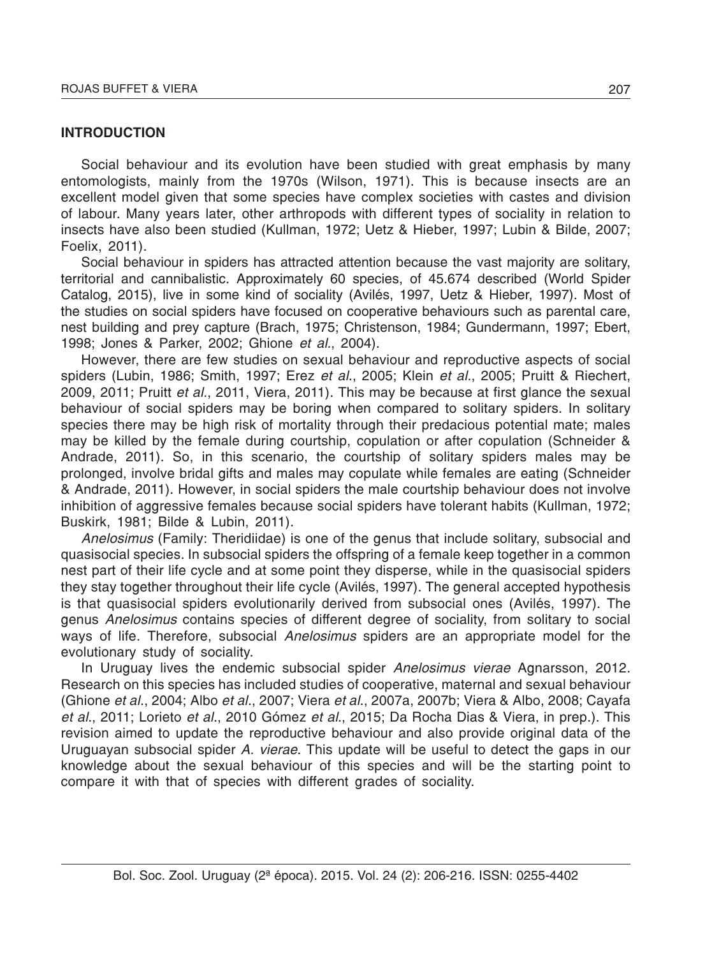#### **INTRODUCTION**

Social behaviour and its evolution have been studied with great emphasis by many entomologists, mainly from the 1970s (Wilson, 1971). This is because insects are an excellent model given that some species have complex societies with castes and division of labour. Many years later, other arthropods with different types of sociality in relation to insects have also been studied (Kullman, 1972; Uetz & Hieber, 1997; Lubin & Bilde, 2007; Foelix, 2011).

Social behaviour in spiders has attracted attention because the vast majority are solitary, territorial and cannibalistic. Approximately 60 species, of 45.674 described (World Spider Catalog, 2015), live in some kind of sociality (Avilés, 1997, Uetz & Hieber, 1997). Most of the studies on social spiders have focused on cooperative behaviours such as parental care, nest building and prey capture (Brach, 1975; Christenson, 1984; Gundermann, 1997; Ebert, 1998; Jones & Parker, 2002; Ghione *et al.*, 2004).

However, there are few studies on sexual behaviour and reproductive aspects of social spiders (Lubin, 1986; Smith, 1997; Erez *et al*., 2005; Klein *et al.*, 2005; Pruitt & Riechert, 2009, 2011; Pruitt *et al.*, 2011, Viera, 2011). This may be because at first glance the sexual behaviour of social spiders may be boring when compared to solitary spiders. In solitary species there may be high risk of mortality through their predacious potential mate; males may be killed by the female during courtship, copulation or after copulation (Schneider & Andrade, 2011). So, in this scenario, the courtship of solitary spiders males may be prolonged, involve bridal gifts and males may copulate while females are eating (Schneider & Andrade, 2011). However, in social spiders the male courtship behaviour does not involve inhibition of aggressive females because social spiders have tolerant habits (Kullman, 1972; Buskirk, 1981; Bilde & Lubin, 2011).

*Anelosimus* (Family: Theridiidae) is one of the genus that include solitary, subsocial and quasisocial species. In subsocial spiders the offspring of a female keep together in a common nest part of their life cycle and at some point they disperse, while in the quasisocial spiders they stay together throughout their life cycle (Avilés, 1997). The general accepted hypothesis is that quasisocial spiders evolutionarily derived from subsocial ones (Avilés, 1997). The genus *Anelosimus* contains species of different degree of sociality, from solitary to social ways of life. Therefore, subsocial *Anelosimus* spiders are an appropriate model for the evolutionary study of sociality.

In Uruguay lives the endemic subsocial spider *Anelosimus vierae* Agnarsson, 2012. Research on this species has included studies of cooperative, maternal and sexual behaviour (Ghione *et al*., 2004; Albo *et al*., 2007; Viera *et al*., 2007a, 2007b; Viera & Albo, 2008; Cayafa *et al*., 2011; Lorieto *et al*., 2010 Gómez *et al*., 2015; Da Rocha Dias & Viera, in prep.). This revision aimed to update the reproductive behaviour and also provide original data of the Uruguayan subsocial spider *A. vierae*. This update will be useful to detect the gaps in our knowledge about the sexual behaviour of this species and will be the starting point to compare it with that of species with different grades of sociality.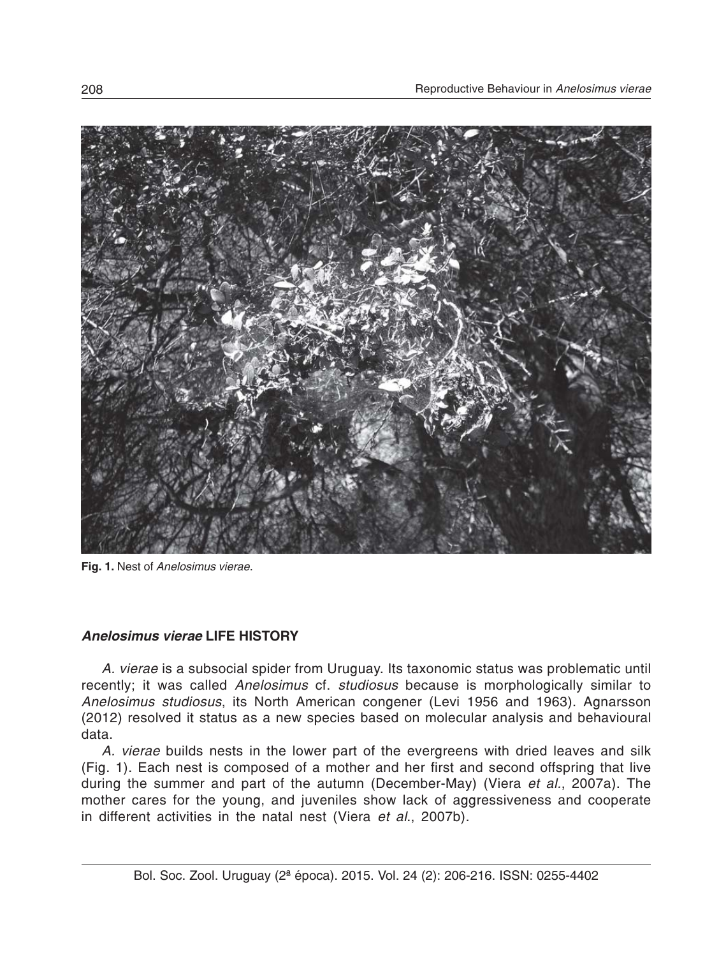

**Fig. 1.** Nest of *Anelosimus vierae*.

## *Anelosimus vierae* **LIFE HISTORY**

*A. vierae* is a subsocial spider from Uruguay. Its taxonomic status was problematic until recently; it was called *Anelosimus* cf. *studiosus* because is morphologically similar to *Anelosimus studiosus*, its North American congener (Levi 1956 and 1963). Agnarsson (2012) resolved it status as a new species based on molecular analysis and behavioural data.

*A. vierae* builds nests in the lower part of the evergreens with dried leaves and silk (Fig. 1). Each nest is composed of a mother and her first and second offspring that live during the summer and part of the autumn (December-May) (Viera *et al.*, 2007a). The mother cares for the young, and juveniles show lack of aggressiveness and cooperate in different activities in the natal nest (Viera *et al*., 2007b).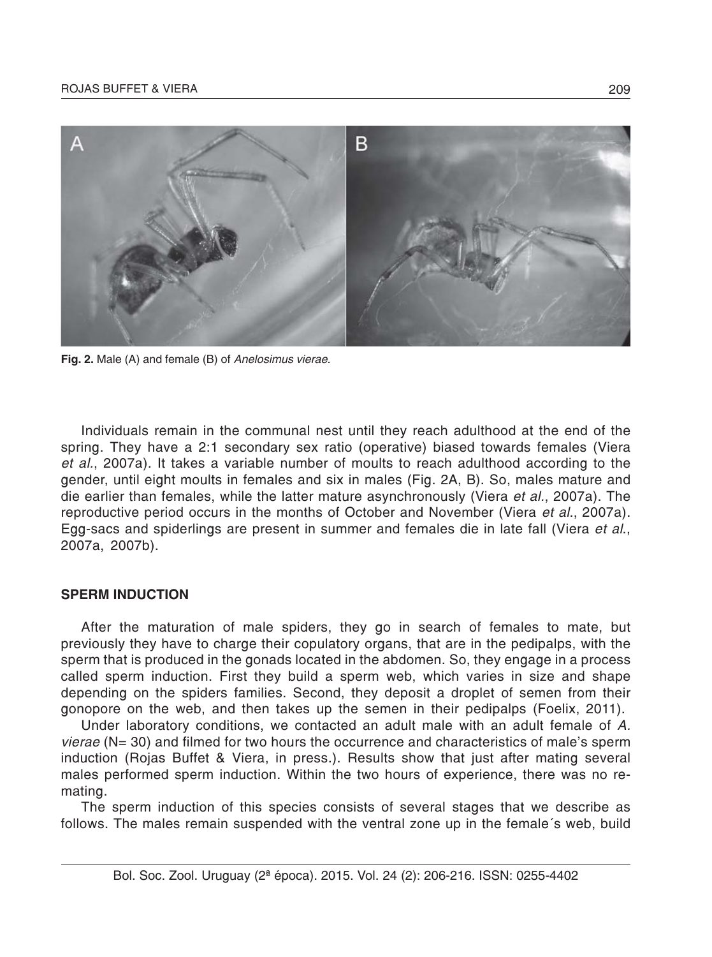

**Fig. 2.** Male (A) and female (B) of *Anelosimus vierae*.

Individuals remain in the communal nest until they reach adulthood at the end of the spring. They have a 2:1 secondary sex ratio (operative) biased towards females (Viera *et al.*, 2007a). It takes a variable number of moults to reach adulthood according to the gender, until eight moults in females and six in males (Fig. 2A, B). So, males mature and die earlier than females, while the latter mature asynchronously (Viera *et al.*, 2007a). The reproductive period occurs in the months of October and November (Viera *et al*., 2007a). Egg-sacs and spiderlings are present in summer and females die in late fall (Viera *et al*., 2007a, 2007b).

#### **SPERM INDUCTION**

After the maturation of male spiders, they go in search of females to mate, but previously they have to charge their copulatory organs, that are in the pedipalps, with the sperm that is produced in the gonads located in the abdomen. So, they engage in a process called sperm induction. First they build a sperm web, which varies in size and shape depending on the spiders families. Second, they deposit a droplet of semen from their gonopore on the web, and then takes up the semen in their pedipalps (Foelix, 2011).

Under laboratory conditions, we contacted an adult male with an adult female of *A. vierae* (N= 30) and filmed for two hours the occurrence and characteristics of male's sperm induction (Rojas Buffet & Viera, in press.). Results show that just after mating several males performed sperm induction. Within the two hours of experience, there was no remating.

The sperm induction of this species consists of several stages that we describe as follows. The males remain suspended with the ventral zone up in the female´s web, build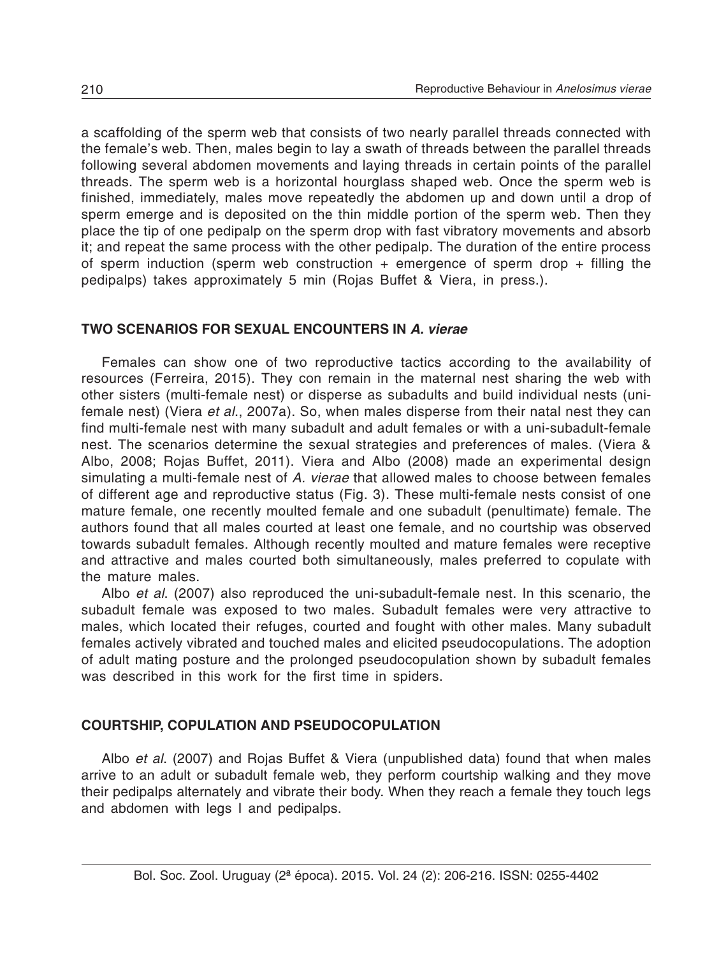a scaffolding of the sperm web that consists of two nearly parallel threads connected with the female's web. Then, males begin to lay a swath of threads between the parallel threads following several abdomen movements and laying threads in certain points of the parallel threads. The sperm web is a horizontal hourglass shaped web. Once the sperm web is finished, immediately, males move repeatedly the abdomen up and down until a drop of sperm emerge and is deposited on the thin middle portion of the sperm web. Then they place the tip of one pedipalp on the sperm drop with fast vibratory movements and absorb it; and repeat the same process with the other pedipalp. The duration of the entire process of sperm induction (sperm web construction  $+$  emergence of sperm drop  $+$  filling the pedipalps) takes approximately 5 min (Rojas Buffet & Viera, in press.).

#### **TWO SCENARIOS FOR SEXUAL ENCOUNTERS IN** *A. vierae*

Females can show one of two reproductive tactics according to the availability of resources (Ferreira, 2015). They con remain in the maternal nest sharing the web with other sisters (multi-female nest) or disperse as subadults and build individual nests (unifemale nest) (Viera *et al*., 2007a). So, when males disperse from their natal nest they can find multi-female nest with many subadult and adult females or with a uni-subadult-female nest. The scenarios determine the sexual strategies and preferences of males. (Viera & Albo, 2008; Rojas Buffet, 2011). Viera and Albo (2008) made an experimental design simulating a multi-female nest of *A. vierae* that allowed males to choose between females of different age and reproductive status (Fig. 3). These multi-female nests consist of one mature female, one recently moulted female and one subadult (penultimate) female. The authors found that all males courted at least one female, and no courtship was observed towards subadult females. Although recently moulted and mature females were receptive and attractive and males courted both simultaneously, males preferred to copulate with the mature males.

Albo *et al*. (2007) also reproduced the uni-subadult-female nest. In this scenario, the subadult female was exposed to two males. Subadult females were very attractive to males, which located their refuges, courted and fought with other males. Many subadult females actively vibrated and touched males and elicited pseudocopulations. The adoption of adult mating posture and the prolonged pseudocopulation shown by subadult females was described in this work for the first time in spiders.

#### **COURTSHIP, COPULATION AND PSEUDOCOPULATION**

Albo *et al*. (2007) and Rojas Buffet & Viera (unpublished data) found that when males arrive to an adult or subadult female web, they perform courtship walking and they move their pedipalps alternately and vibrate their body. When they reach a female they touch legs and abdomen with legs I and pedipalps.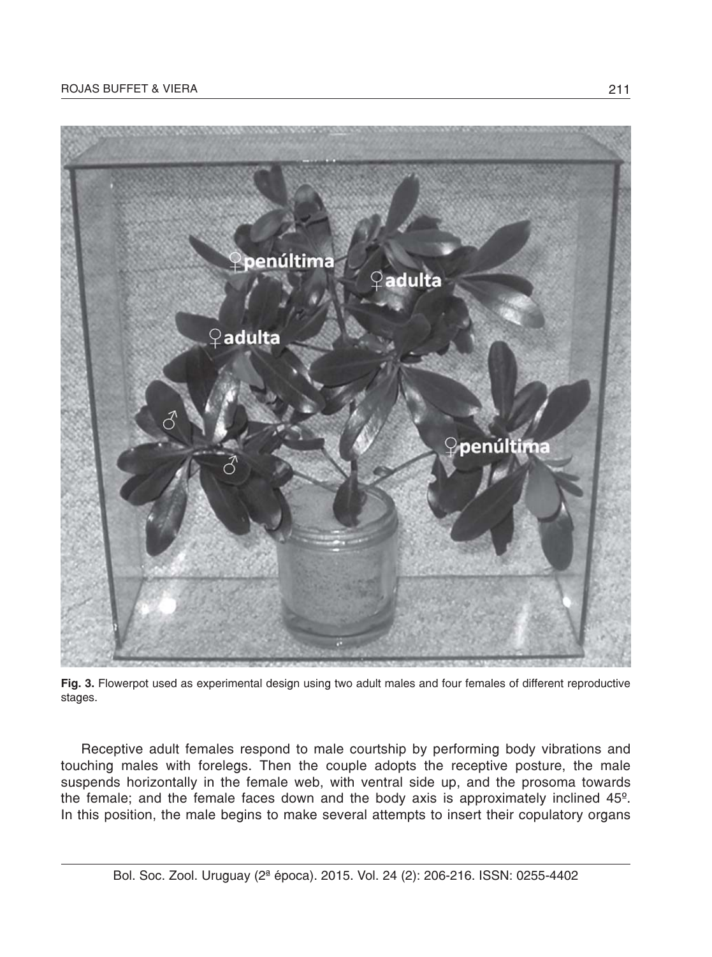#### ROJAS BUFFET & VIERA 211



**Fig. 3.** Flowerpot used as experimental design using two adult males and four females of different reproductive stages.

Receptive adult females respond to male courtship by performing body vibrations and touching males with forelegs. Then the couple adopts the receptive posture, the male suspends horizontally in the female web, with ventral side up, and the prosoma towards the female; and the female faces down and the body axis is approximately inclined 45º. In this position, the male begins to make several attempts to insert their copulatory organs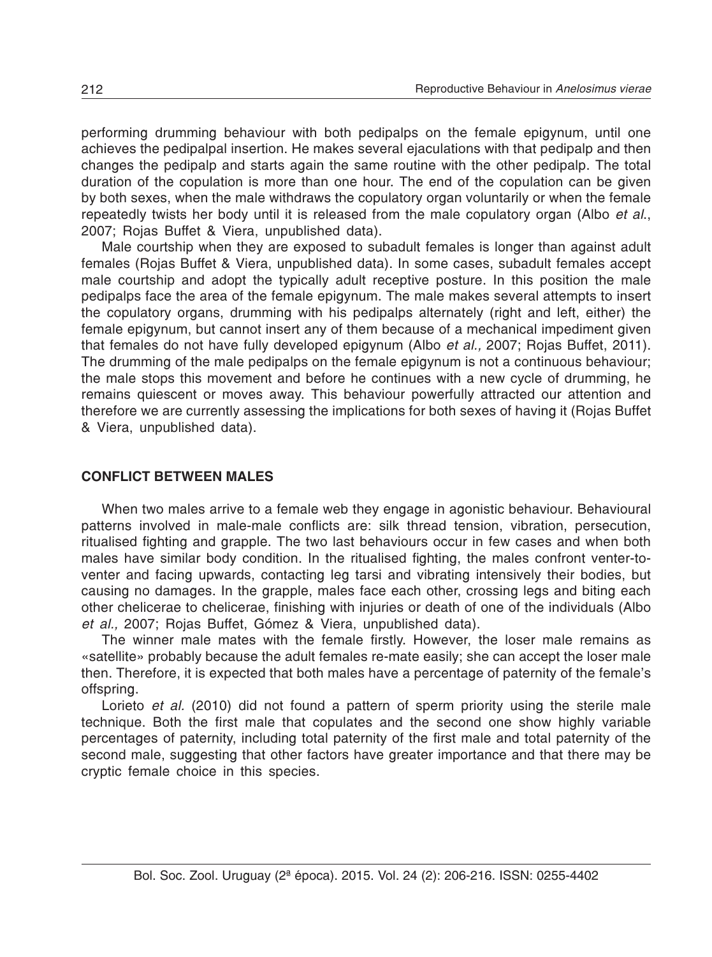performing drumming behaviour with both pedipalps on the female epigynum, until one achieves the pedipalpal insertion. He makes several ejaculations with that pedipalp and then changes the pedipalp and starts again the same routine with the other pedipalp. The total duration of the copulation is more than one hour. The end of the copulation can be given by both sexes, when the male withdraws the copulatory organ voluntarily or when the female repeatedly twists her body until it is released from the male copulatory organ (Albo *et al*., 2007; Rojas Buffet & Viera, unpublished data).

Male courtship when they are exposed to subadult females is longer than against adult females (Rojas Buffet & Viera, unpublished data). In some cases, subadult females accept male courtship and adopt the typically adult receptive posture. In this position the male pedipalps face the area of the female epigynum. The male makes several attempts to insert the copulatory organs, drumming with his pedipalps alternately (right and left, either) the female epigynum, but cannot insert any of them because of a mechanical impediment given that females do not have fully developed epigynum (Albo *et al.,* 2007; Rojas Buffet, 2011). The drumming of the male pedipalps on the female epigynum is not a continuous behaviour; the male stops this movement and before he continues with a new cycle of drumming, he remains quiescent or moves away. This behaviour powerfully attracted our attention and therefore we are currently assessing the implications for both sexes of having it (Rojas Buffet & Viera, unpublished data).

#### **CONFLICT BETWEEN MALES**

When two males arrive to a female web they engage in agonistic behaviour. Behavioural patterns involved in male-male conflicts are: silk thread tension, vibration, persecution, ritualised fighting and grapple. The two last behaviours occur in few cases and when both males have similar body condition. In the ritualised fighting, the males confront venter-toventer and facing upwards, contacting leg tarsi and vibrating intensively their bodies, but causing no damages. In the grapple, males face each other, crossing legs and biting each other chelicerae to chelicerae, finishing with injuries or death of one of the individuals (Albo *et al.,* 2007; Rojas Buffet, Gómez & Viera, unpublished data).

The winner male mates with the female firstly. However, the loser male remains as «satellite» probably because the adult females re-mate easily; she can accept the loser male then. Therefore, it is expected that both males have a percentage of paternity of the female's offspring.

Lorieto *et al.* (2010) did not found a pattern of sperm priority using the sterile male technique. Both the first male that copulates and the second one show highly variable percentages of paternity, including total paternity of the first male and total paternity of the second male, suggesting that other factors have greater importance and that there may be cryptic female choice in this species.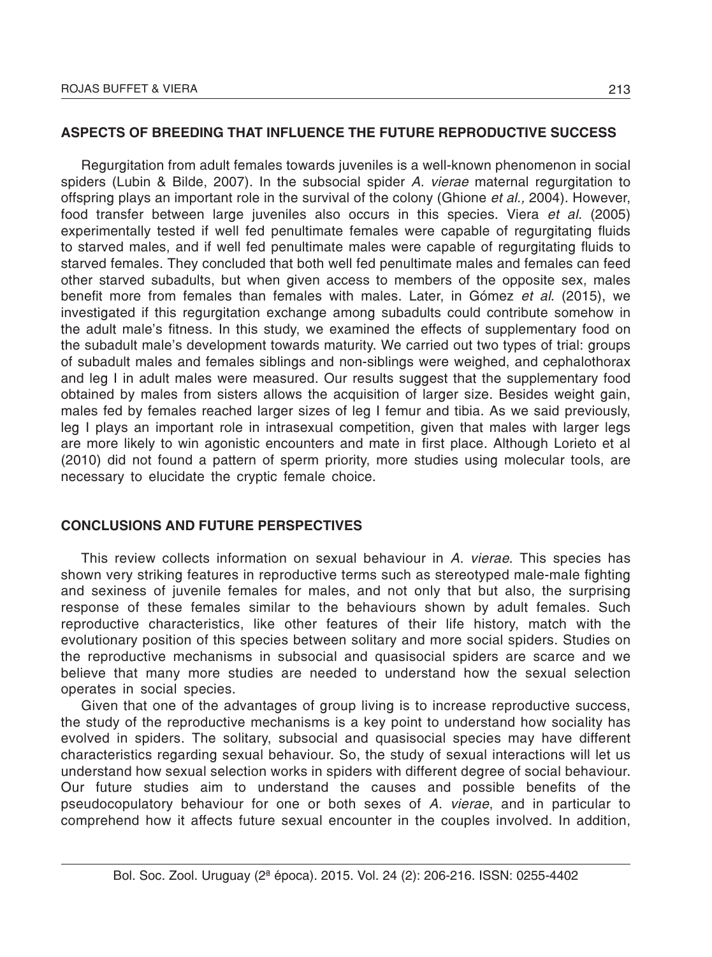## **ASPECTS OF BREEDING THAT INFLUENCE THE FUTURE REPRODUCTIVE SUCCESS**

Regurgitation from adult females towards juveniles is a well-known phenomenon in social spiders (Lubin & Bilde, 2007). In the subsocial spider *A. vierae* maternal regurgitation to offspring plays an important role in the survival of the colony (Ghione *et al.,* 2004). However, food transfer between large juveniles also occurs in this species. Viera *et al.* (2005) experimentally tested if well fed penultimate females were capable of regurgitating fluids to starved males, and if well fed penultimate males were capable of regurgitating fluids to starved females. They concluded that both well fed penultimate males and females can feed other starved subadults, but when given access to members of the opposite sex, males benefit more from females than females with males. Later, in Gómez *et al*. (2015), we investigated if this regurgitation exchange among subadults could contribute somehow in the adult male's fitness. In this study, we examined the effects of supplementary food on the subadult male's development towards maturity. We carried out two types of trial: groups of subadult males and females siblings and non-siblings were weighed, and cephalothorax and leg I in adult males were measured. Our results suggest that the supplementary food obtained by males from sisters allows the acquisition of larger size. Besides weight gain, males fed by females reached larger sizes of leg I femur and tibia. As we said previously, leg I plays an important role in intrasexual competition, given that males with larger legs are more likely to win agonistic encounters and mate in first place. Although Lorieto et al (2010) did not found a pattern of sperm priority, more studies using molecular tools, are necessary to elucidate the cryptic female choice.

### **CONCLUSIONS AND FUTURE PERSPECTIVES**

This review collects information on sexual behaviour in *A. vierae*. This species has shown very striking features in reproductive terms such as stereotyped male-male fighting and sexiness of juvenile females for males, and not only that but also, the surprising response of these females similar to the behaviours shown by adult females. Such reproductive characteristics, like other features of their life history, match with the evolutionary position of this species between solitary and more social spiders. Studies on the reproductive mechanisms in subsocial and quasisocial spiders are scarce and we believe that many more studies are needed to understand how the sexual selection operates in social species.

Given that one of the advantages of group living is to increase reproductive success, the study of the reproductive mechanisms is a key point to understand how sociality has evolved in spiders. The solitary, subsocial and quasisocial species may have different characteristics regarding sexual behaviour. So, the study of sexual interactions will let us understand how sexual selection works in spiders with different degree of social behaviour. Our future studies aim to understand the causes and possible benefits of the pseudocopulatory behaviour for one or both sexes of *A. vierae*, and in particular to comprehend how it affects future sexual encounter in the couples involved. In addition,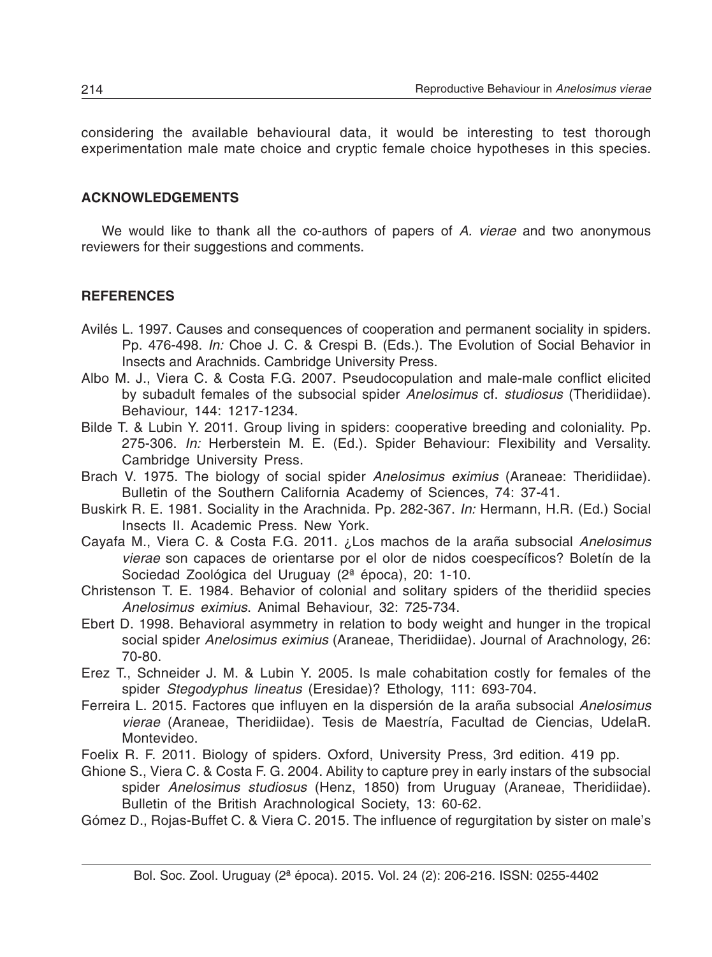considering the available behavioural data, it would be interesting to test thorough experimentation male mate choice and cryptic female choice hypotheses in this species.

## **ACKNOWLEDGEMENTS**

We would like to thank all the co-authors of papers of *A. vierae* and two anonymous reviewers for their suggestions and comments.

## **REFERENCES**

- Avilés L. 1997. Causes and consequences of cooperation and permanent sociality in spiders. Pp. 476-498. *In:* Choe J. C. & Crespi B. (Eds.). The Evolution of Social Behavior in Insects and Arachnids. Cambridge University Press.
- Albo M. J., Viera C. & Costa F.G. 2007. Pseudocopulation and male-male conflict elicited by subadult females of the subsocial spider *Anelosimus* cf. *studiosus* (Theridiidae). Behaviour, 144: 1217-1234.
- Bilde T. & Lubin Y. 2011. Group living in spiders: cooperative breeding and coloniality. Pp. 275-306. *In:* Herberstein M. E. (Ed.). Spider Behaviour: Flexibility and Versality. Cambridge University Press.
- Brach V. 1975. The biology of social spider *Anelosimus eximius* (Araneae: Theridiidae). Bulletin of the Southern California Academy of Sciences, 74: 37-41.
- Buskirk R. E. 1981. Sociality in the Arachnida. Pp. 282-367. *In:* Hermann, H.R. (Ed.) Social Insects II. Academic Press. New York.
- Cayafa M., Viera C. & Costa F.G. 2011. ¿Los machos de la araña subsocial *Anelosimus vierae* son capaces de orientarse por el olor de nidos coespecíficos? Boletín de la Sociedad Zoológica del Uruguay (2ª época), 20: 1-10.
- Christenson T. E. 1984. Behavior of colonial and solitary spiders of the theridiid species *Anelosimus eximius*. Animal Behaviour, 32: 725-734.
- Ebert D. 1998. Behavioral asymmetry in relation to body weight and hunger in the tropical social spider *Anelosimus eximius* (Araneae, Theridiidae). Journal of Arachnology, 26: 70-80.
- Erez T., Schneider J. M. & Lubin Y. 2005. Is male cohabitation costly for females of the spider *Stegodyphus lineatus* (Eresidae)? Ethology, 111: 693-704.
- Ferreira L. 2015. Factores que influyen en la dispersión de la araña subsocial *Anelosimus vierae* (Araneae, Theridiidae). Tesis de Maestría, Facultad de Ciencias, UdelaR. Montevideo.

Foelix R. F. 2011. Biology of spiders. Oxford, University Press, 3rd edition. 419 pp.

- Ghione S., Viera C. & Costa F. G. 2004. Ability to capture prey in early instars of the subsocial spider *Anelosimus studiosus* (Henz, 1850) from Uruguay (Araneae, Theridiidae). Bulletin of the British Arachnological Society, 13: 60-62.
- Gómez D., Rojas-Buffet C. & Viera C. 2015. The influence of regurgitation by sister on male's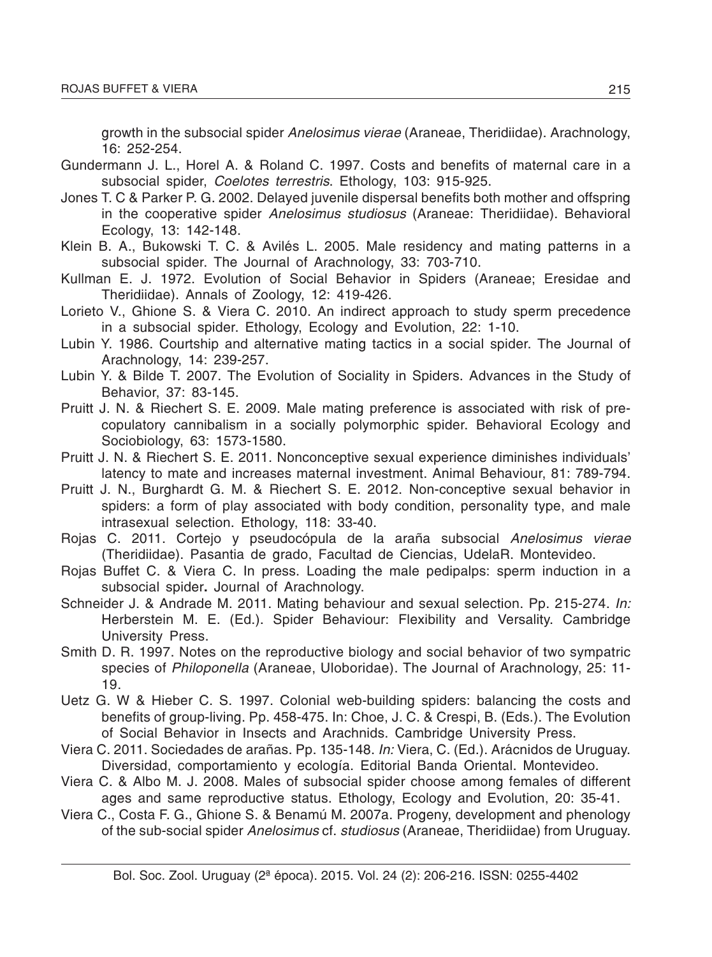growth in the subsocial spider *Anelosimus vierae* (Araneae, Theridiidae). Arachnology, 16: 252-254.

- Gundermann J. L., Horel A. & Roland C. 1997. Costs and benefits of maternal care in a subsocial spider, *Coelotes terrestris*. Ethology, 103: 915-925.
- Jones T. C & Parker P. G. 2002. Delayed juvenile dispersal benefits both mother and offspring in the cooperative spider *Anelosimus studiosus* (Araneae: Theridiidae). Behavioral Ecology, 13: 142-148.
- Klein B. A., Bukowski T. C. & Avilés L. 2005. Male residency and mating patterns in a subsocial spider. The Journal of Arachnology, 33: 703-710.
- Kullman E. J. 1972. Evolution of Social Behavior in Spiders (Araneae; Eresidae and Theridiidae). Annals of Zoology, 12: 419-426.
- Lorieto V., Ghione S. & Viera C. 2010. An indirect approach to study sperm precedence in a subsocial spider. Ethology, Ecology and Evolution, 22: 1-10.
- Lubin Y. 1986. Courtship and alternative mating tactics in a social spider. The Journal of Arachnology, 14: 239-257.
- Lubin Y. & Bilde T. 2007. The Evolution of Sociality in Spiders. Advances in the Study of Behavior, 37: 83-145.
- Pruitt J. N. & Riechert S. E. 2009. Male mating preference is associated with risk of precopulatory cannibalism in a socially polymorphic spider. Behavioral Ecology and Sociobiology, 63: 1573-1580.
- Pruitt J. N. & Riechert S. E. 2011. Nonconceptive sexual experience diminishes individuals' latency to mate and increases maternal investment. Animal Behaviour, 81: 789-794.
- Pruitt J. N., Burghardt G. M. & Riechert S. E. 2012. Non-conceptive sexual behavior in spiders: a form of play associated with body condition, personality type, and male intrasexual selection. Ethology, 118: 33-40.
- Rojas C. 2011. Cortejo y pseudocópula de la araña subsocial *Anelosimus vierae* (Theridiidae). Pasantia de grado, Facultad de Ciencias, UdelaR. Montevideo.
- Rojas Buffet C. & Viera C. In press. Loading the male pedipalps: sperm induction in a subsocial spider**.** Journal of Arachnology.
- Schneider J. & Andrade M. 2011. Mating behaviour and sexual selection. Pp. 215-274. *In:* Herberstein M. E. (Ed.). Spider Behaviour: Flexibility and Versality. Cambridge University Press.
- Smith D. R. 1997. Notes on the reproductive biology and social behavior of two sympatric species of *Philoponella* (Araneae, Uloboridae). The Journal of Arachnology, 25: 11- 19.
- Uetz G. W & Hieber C. S. 1997. Colonial web-building spiders: balancing the costs and benefits of group-living. Pp. 458-475. In: Choe, J. C. & Crespi, B. (Eds.). The Evolution of Social Behavior in Insects and Arachnids. Cambridge University Press.
- Viera C. 2011. Sociedades de arañas. Pp. 135-148. *In:* Viera, C. (Ed.). Arácnidos de Uruguay. Diversidad, comportamiento y ecología. Editorial Banda Oriental. Montevideo.
- Viera C. & Albo M. J. 2008. Males of subsocial spider choose among females of different ages and same reproductive status. Ethology, Ecology and Evolution, 20: 35-41.
- Viera C., Costa F. G., Ghione S. & Benamú M. 2007a. Progeny, development and phenology of the sub-social spider *Anelosimus* cf. *studiosus* (Araneae, Theridiidae) from Uruguay.